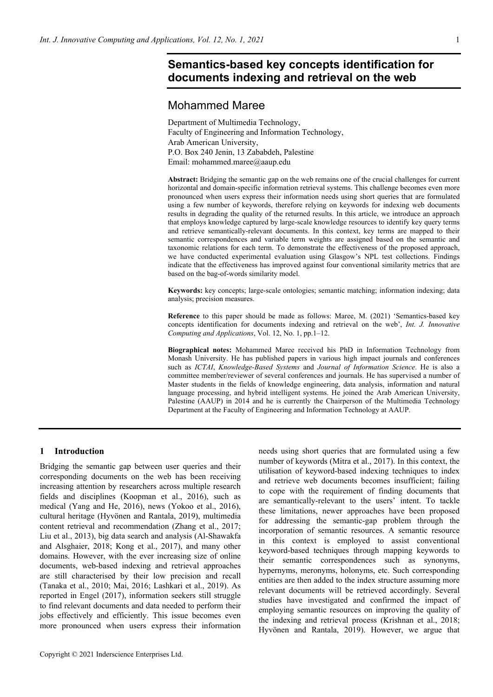# **Semantics-based key concepts identification for documents indexing and retrieval on the web**

# Mohammed Maree

Department of Multimedia Technology, Faculty of Engineering and Information Technology, Arab American University, P.O. Box 240 Jenin, 13 Zababdeh, Palestine Email: mohammed.maree@aaup.edu

**Abstract:** Bridging the semantic gap on the web remains one of the crucial challenges for current horizontal and domain-specific information retrieval systems. This challenge becomes even more pronounced when users express their information needs using short queries that are formulated using a few number of keywords, therefore relying on keywords for indexing web documents results in degrading the quality of the returned results. In this article, we introduce an approach that employs knowledge captured by large-scale knowledge resources to identify key query terms and retrieve semantically-relevant documents. In this context, key terms are mapped to their semantic correspondences and variable term weights are assigned based on the semantic and taxonomic relations for each term. To demonstrate the effectiveness of the proposed approach, we have conducted experimental evaluation using Glasgow's NPL test collections. Findings indicate that the effectiveness has improved against four conventional similarity metrics that are based on the bag-of-words similarity model.

**Keywords:** key concepts; large-scale ontologies; semantic matching; information indexing; data analysis; precision measures.

**Reference** to this paper should be made as follows: Maree, M. (2021) 'Semantics-based key concepts identification for documents indexing and retrieval on the web', *Int. J. Innovative Computing and Applications*, Vol. 12, No. 1, pp.1–12.

**Biographical notes:** Mohammed Maree received his PhD in Information Technology from Monash University. He has published papers in various high impact journals and conferences such as *ICTAI*, *Knowledge-Based Systems* and *Journal of Information Science*. He is also a committee member/reviewer of several conferences and journals. He has supervised a number of Master students in the fields of knowledge engineering, data analysis, information and natural language processing, and hybrid intelligent systems. He joined the Arab American University, Palestine (AAUP) in 2014 and he is currently the Chairperson of the Multimedia Technology Department at the Faculty of Engineering and Information Technology at AAUP.

### **1 Introduction**

Bridging the semantic gap between user queries and their corresponding documents on the web has been receiving increasing attention by researchers across multiple research fields and disciplines (Koopman et al., 2016), such as medical (Yang and He, 2016), news (Yokoo et al., 2016), cultural heritage (Hyvönen and Rantala, 2019), multimedia content retrieval and recommendation (Zhang et al., 2017; Liu et al., 2013), big data search and analysis (Al-Shawakfa and Alsghaier, 2018; Kong et al., 2017), and many other domains. However, with the ever increasing size of online documents, web-based indexing and retrieval approaches are still characterised by their low precision and recall (Tanaka et al., 2010; Mai, 2016; Lashkari et al., 2019). As reported in Engel (2017), information seekers still struggle to find relevant documents and data needed to perform their jobs effectively and efficiently. This issue becomes even more pronounced when users express their information

Copyright © 2021 Inderscience Enterprises Ltd.

needs using short queries that are formulated using a few number of keywords (Mitra et al., 2017). In this context, the utilisation of keyword-based indexing techniques to index and retrieve web documents becomes insufficient; failing to cope with the requirement of finding documents that are semantically-relevant to the users' intent. To tackle these limitations, newer approaches have been proposed for addressing the semantic-gap problem through the incorporation of semantic resources. A semantic resource in this context is employed to assist conventional keyword-based techniques through mapping keywords to their semantic correspondences such as synonyms, hypernyms, meronyms, holonyms, etc. Such corresponding entities are then added to the index structure assuming more relevant documents will be retrieved accordingly. Several studies have investigated and confirmed the impact of employing semantic resources on improving the quality of the indexing and retrieval process (Krishnan et al., 2018; Hyvönen and Rantala, 2019). However, we argue that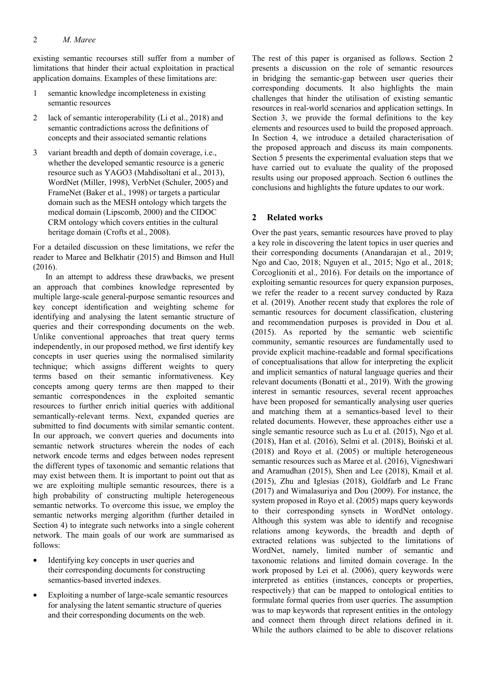existing semantic recourses still suffer from a number of limitations that hinder their actual exploitation in practical application domains. Examples of these limitations are:

- 1 semantic knowledge incompleteness in existing semantic resources
- 2 lack of semantic interoperability (Li et al., 2018) and semantic contradictions across the definitions of concepts and their associated semantic relations
- 3 variant breadth and depth of domain coverage, i.e., whether the developed semantic resource is a generic resource such as YAGO3 (Mahdisoltani et al., 2013), WordNet (Miller, 1998), VerbNet (Schuler, 2005) and FrameNet (Baker et al., 1998) or targets a particular domain such as the MESH ontology which targets the medical domain (Lipscomb, 2000) and the CIDOC CRM ontology which covers entities in the cultural heritage domain (Crofts et al., 2008).

For a detailed discussion on these limitations, we refer the reader to Maree and Belkhatir (2015) and Bimson and Hull (2016).

In an attempt to address these drawbacks, we present an approach that combines knowledge represented by multiple large-scale general-purpose semantic resources and key concept identification and weighting scheme for identifying and analysing the latent semantic structure of queries and their corresponding documents on the web. Unlike conventional approaches that treat query terms independently, in our proposed method, we first identify key concepts in user queries using the normalised similarity technique; which assigns different weights to query terms based on their semantic informativeness. Key concepts among query terms are then mapped to their semantic correspondences in the exploited semantic resources to further enrich initial queries with additional semantically-relevant terms. Next, expanded queries are submitted to find documents with similar semantic content. In our approach, we convert queries and documents into semantic network structures wherein the nodes of each network encode terms and edges between nodes represent the different types of taxonomic and semantic relations that may exist between them. It is important to point out that as we are exploiting multiple semantic resources, there is a high probability of constructing multiple heterogeneous semantic networks. To overcome this issue, we employ the semantic networks merging algorithm (further detailed in Section 4) to integrate such networks into a single coherent network. The main goals of our work are summarised as follows:

- Identifying key concepts in user queries and their corresponding documents for constructing semantics-based inverted indexes.
- Exploiting a number of large-scale semantic resources for analysing the latent semantic structure of queries and their corresponding documents on the web.

The rest of this paper is organised as follows. Section 2 presents a discussion on the role of semantic resources in bridging the semantic-gap between user queries their corresponding documents. It also highlights the main challenges that hinder the utilisation of existing semantic resources in real-world scenarios and application settings. In Section 3, we provide the formal definitions to the key elements and resources used to build the proposed approach. In Section 4, we introduce a detailed characterisation of the proposed approach and discuss its main components. Section 5 presents the experimental evaluation steps that we have carried out to evaluate the quality of the proposed results using our proposed approach. Section 6 outlines the conclusions and highlights the future updates to our work.

# **2 Related works**

Over the past years, semantic resources have proved to play a key role in discovering the latent topics in user queries and their corresponding documents (Anandarajan et al., 2019; Ngo and Cao, 2018; Nguyen et al., 2015; Ngo et al., 2018; Corcoglioniti et al., 2016). For details on the importance of exploiting semantic resources for query expansion purposes, we refer the reader to a recent survey conducted by Raza et al. (2019). Another recent study that explores the role of semantic resources for document classification, clustering and recommendation purposes is provided in Dou et al. (2015). As reported by the semantic web scientific community, semantic resources are fundamentally used to provide explicit machine-readable and formal specifications of conceptualisations that allow for interpreting the explicit and implicit semantics of natural language queries and their relevant documents (Bonatti et al., 2019). With the growing interest in semantic resources, several recent approaches have been proposed for semantically analysing user queries and matching them at a semantics-based level to their related documents. However, these approaches either use a single semantic resource such as Lu et al. (2015), Ngo et al. (2018), Han et al. (2016), Selmi et al. (2018), Boiński et al. (2018) and Royo et al. (2005) or multiple heterogeneous semantic resources such as Maree et al. (2016), Vigneshwari and Aramudhan (2015), Shen and Lee (2018), Kmail et al. (2015), Zhu and Iglesias (2018), Goldfarb and Le Franc (2017) and Wimalasuriya and Dou (2009). For instance, the system proposed in Royo et al. (2005) maps query keywords to their corresponding synsets in WordNet ontology. Although this system was able to identify and recognise relations among keywords, the breadth and depth of extracted relations was subjected to the limitations of WordNet, namely, limited number of semantic and taxonomic relations and limited domain coverage. In the work proposed by Lei et al. (2006), query keywords were interpreted as entities (instances, concepts or properties, respectively) that can be mapped to ontological entities to formulate formal queries from user queries. The assumption was to map keywords that represent entities in the ontology and connect them through direct relations defined in it. While the authors claimed to be able to discover relations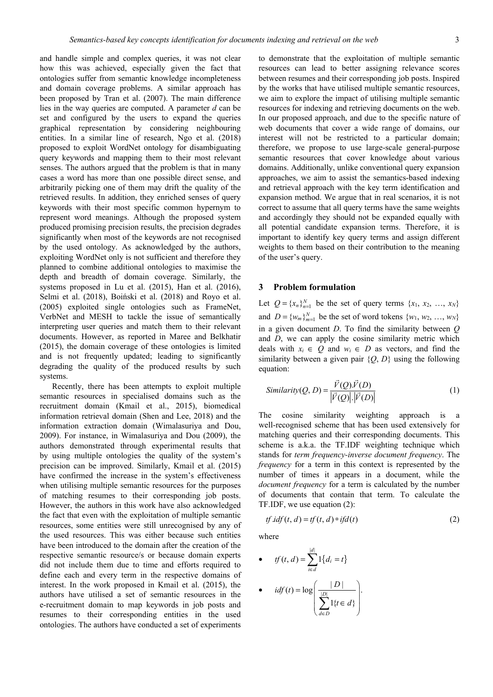and handle simple and complex queries, it was not clear how this was achieved, especially given the fact that ontologies suffer from semantic knowledge incompleteness and domain coverage problems. A similar approach has been proposed by Tran et al. (2007). The main difference lies in the way queries are computed. A parameter *d* can be set and configured by the users to expand the queries graphical representation by considering neighbouring entities. In a similar line of research, Ngo et al. (2018) proposed to exploit WordNet ontology for disambiguating query keywords and mapping them to their most relevant senses. The authors argued that the problem is that in many cases a word has more than one possible direct sense, and arbitrarily picking one of them may drift the quality of the retrieved results. In addition, they enriched senses of query keywords with their most specific common hypernym to represent word meanings. Although the proposed system produced promising precision results, the precision degrades significantly when most of the keywords are not recognised by the used ontology. As acknowledged by the authors, exploiting WordNet only is not sufficient and therefore they planned to combine additional ontologies to maximise the depth and breadth of domain coverage. Similarly, the systems proposed in Lu et al. (2015), Han et al. (2016), Selmi et al. (2018), Boiński et al. (2018) and Royo et al. (2005) exploited single ontologies such as FrameNet, VerbNet and MESH to tackle the issue of semantically interpreting user queries and match them to their relevant documents. However, as reported in Maree and Belkhatir (2015), the domain coverage of these ontologies is limited and is not frequently updated; leading to significantly degrading the quality of the produced results by such systems.

Recently, there has been attempts to exploit multiple semantic resources in specialised domains such as the recruitment domain (Kmail et al., 2015), biomedical information retrieval domain (Shen and Lee, 2018) and the information extraction domain (Wimalasuriya and Dou, 2009). For instance, in Wimalasuriya and Dou (2009), the authors demonstrated through experimental results that by using multiple ontologies the quality of the system's precision can be improved. Similarly, Kmail et al. (2015) have confirmed the increase in the system's effectiveness when utilising multiple semantic resources for the purposes of matching resumes to their corresponding job posts. However, the authors in this work have also acknowledged the fact that even with the exploitation of multiple semantic resources, some entities were still unrecognised by any of the used resources. This was either because such entities have been introduced to the domain after the creation of the respective semantic resource/s or because domain experts did not include them due to time and efforts required to define each and every term in the respective domains of interest. In the work proposed in Kmail et al. (2015), the authors have utilised a set of semantic resources in the e-recruitment domain to map keywords in job posts and resumes to their corresponding entities in the used ontologies. The authors have conducted a set of experiments

to demonstrate that the exploitation of multiple semantic resources can lead to better assigning relevance scores between resumes and their corresponding job posts. Inspired by the works that have utilised multiple semantic resources, we aim to explore the impact of utilising multiple semantic resources for indexing and retrieving documents on the web. In our proposed approach, and due to the specific nature of web documents that cover a wide range of domains, our interest will not be restricted to a particular domain; therefore, we propose to use large-scale general-purpose semantic resources that cover knowledge about various domains. Additionally, unlike conventional query expansion approaches, we aim to assist the semantics-based indexing and retrieval approach with the key term identification and expansion method. We argue that in real scenarios, it is not correct to assume that all query terms have the same weights and accordingly they should not be expanded equally with all potential candidate expansion terms. Therefore, it is important to identify key query terms and assign different weights to them based on their contribution to the meaning of the user's query.

#### **3 Problem formulation**

Let  $Q = \{x_n\}_{n=1}^N$  be the set of query terms  $\{x_1, x_2, ..., x_N\}$ and  $D = \{w_m\}_{m=1}^N$  be the set of word tokens  $\{w_1, w_2, ..., w_N\}$ in a given document *D*. To find the similarity between *Q* and *D*, we can apply the cosine similarity metric which deals with  $x_i \in Q$  and  $w_i \in D$  as vectors, and find the similarity between a given pair  $\{O, D\}$  using the following equation:

$$
Similarity(Q, D) = \frac{\vec{V}(Q).\vec{V}(D)}{|\vec{V}(Q)| \cdot |\vec{V}(D)|}
$$
\n(1)

The cosine similarity weighting approach is a well-recognised scheme that has been used extensively for matching queries and their corresponding documents. This scheme is a.k.a. the TF.IDF weighting technique which stands for *term frequency-inverse document frequency*. The *frequency* for a term in this context is represented by the number of times it appears in a document, while the *document frequency* for a term is calculated by the number of documents that contain that term. To calculate the TF.IDF, we use equation (2):

*tf idf t d tf t d ifd t* . (, ) (, ) () = ∗ (2)

where

• 
$$
tf(t, d) = \sum_{i \in d}^{|d|} 1\{d_i = t\}
$$
  
• 
$$
idf(t) = \log \left(\frac{|D|}{\sum_{d \in D}^{|D|} 1\{t \in d\}}\right).
$$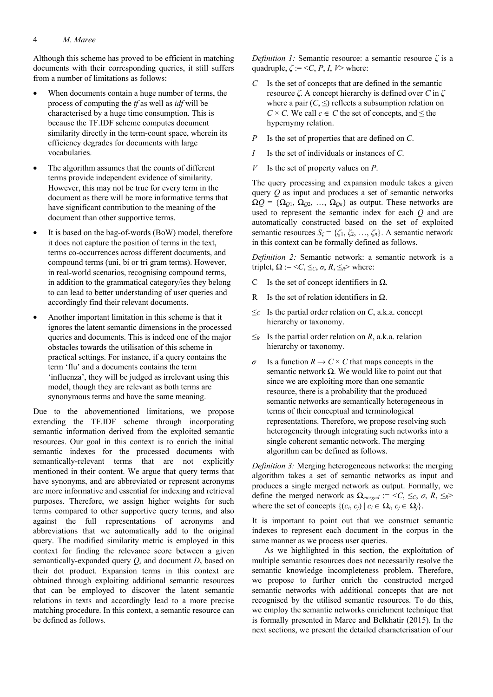Although this scheme has proved to be efficient in matching documents with their corresponding queries, it still suffers from a number of limitations as follows:

- When documents contain a huge number of terms, the process of computing the *tf* as well as *idf* will be characterised by a huge time consumption. This is because the TF.IDF scheme computes document similarity directly in the term-count space, wherein its efficiency degrades for documents with large vocabularies.
- The algorithm assumes that the counts of different terms provide independent evidence of similarity. However, this may not be true for every term in the document as there will be more informative terms that have significant contribution to the meaning of the document than other supportive terms.
- It is based on the bag-of-words (BoW) model, therefore it does not capture the position of terms in the text, terms co-occurrences across different documents, and compound terms (uni, bi or tri gram terms). However, in real-world scenarios, recognising compound terms, in addition to the grammatical category/ies they belong to can lead to better understanding of user queries and accordingly find their relevant documents.
- Another important limitation in this scheme is that it ignores the latent semantic dimensions in the processed queries and documents. This is indeed one of the major obstacles towards the utilisation of this scheme in practical settings. For instance, if a query contains the term 'flu' and a documents contains the term 'influenza', they will be judged as irrelevant using this model, though they are relevant as both terms are synonymous terms and have the same meaning.

Due to the abovementioned limitations, we propose extending the TF.IDF scheme through incorporating semantic information derived from the exploited semantic resources. Our goal in this context is to enrich the initial semantic indexes for the processed documents with semantically-relevant terms that are not explicitly mentioned in their content. We argue that query terms that have synonyms, and are abbreviated or represent acronyms are more informative and essential for indexing and retrieval purposes. Therefore, we assign higher weights for such terms compared to other supportive query terms, and also against the full representations of acronyms and abbreviations that we automatically add to the original query. The modified similarity metric is employed in this context for finding the relevance score between a given semantically-expanded query *Qs* and document *Ds* based on their dot product. Expansion terms in this context are obtained through exploiting additional semantic resources that can be employed to discover the latent semantic relations in texts and accordingly lead to a more precise matching procedure. In this context, a semantic resource can be defined as follows.

*Definition 1:* Semantic resource: a semantic resource *ζ* is a quadruple,  $\zeta := \langle C, P, I, V \rangle$  where:

- *C* Is the set of concepts that are defined in the semantic resource *ζ*. A concept hierarchy is defined over *C* in *ζ* where a pair  $(C, \leq)$  reflects a subsumption relation on  $C \times C$ . We call  $c \in C$  the set of concepts, and  $\leq$  the hypernymy relation.
- *P* Is the set of properties that are defined on *C*.
- *I* Is the set of individuals or instances of *C*.
- *V* Is the set of property values on *P*.

The query processing and expansion module takes a given query *Q* as input and produces a set of semantic networks  $\Omega Q = {\Omega_{Q1}, \Omega_{Q2}, ..., \Omega_{Qn}}$  as output. These networks are used to represent the semantic index for each *Q* and are automatically constructed based on the set of exploited semantic resources  $S_\zeta = {\zeta_1, \zeta_2, ..., \zeta_n}$ . A semantic network in this context can be formally defined as follows.

*Definition 2:* Semantic network: a semantic network is a triplet,  $\Omega$  := <*C*,  $\leq_C$ ,  $\sigma$ ,  $R$ ,  $\leq_R$ > where:

- C Is the set of concept identifiers in  $\Omega$ .
- R Is the set of relation identifiers in  $\Omega$ .
- $\leq_C$  Is the partial order relation on *C*, a.k.a. concept hierarchy or taxonomy.
- $\leq_R$  Is the partial order relation on *R*, a.k.a. relation hierarchy or taxonomy.
- *σ* Is a function  $R \to C \times C$  that maps concepts in the semantic network  $\Omega$ . We would like to point out that since we are exploiting more than one semantic resource, there is a probability that the produced semantic networks are semantically heterogeneous in terms of their conceptual and terminological representations. Therefore, we propose resolving such heterogeneity through integrating such networks into a single coherent semantic network. The merging algorithm can be defined as follows.

*Definition 3:* Merging heterogeneous networks: the merging algorithm takes a set of semantic networks as input and produces a single merged network as output. Formally, we define the merged network as  $\Omega_{merged} := \langle C, \leq_C, \sigma, R, \leq_R \rangle$ where the set of concepts  $\{(c_i, c_j) | c_i \in \Omega_i, c_j \in \Omega_j\}.$ 

It is important to point out that we construct semantic indexes to represent each document in the corpus in the same manner as we process user queries.

As we highlighted in this section, the exploitation of multiple semantic resources does not necessarily resolve the semantic knowledge incompleteness problem. Therefore, we propose to further enrich the constructed merged semantic networks with additional concepts that are not recognised by the utilised semantic resources. To do this, we employ the semantic networks enrichment technique that is formally presented in Maree and Belkhatir (2015). In the next sections, we present the detailed characterisation of our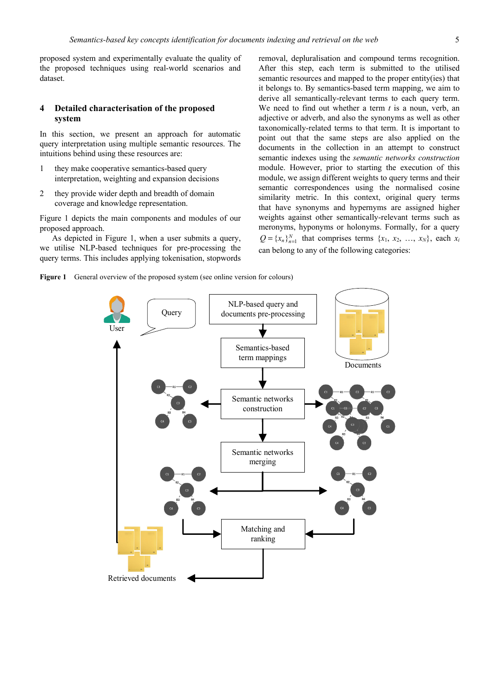proposed system and experimentally evaluate the quality of the proposed techniques using real-world scenarios and dataset.

# **4 Detailed characterisation of the proposed system**

In this section, we present an approach for automatic query interpretation using multiple semantic resources. The intuitions behind using these resources are:

- 1 they make cooperative semantics-based query interpretation, weighting and expansion decisions
- 2 they provide wider depth and breadth of domain coverage and knowledge representation.

Figure 1 depicts the main components and modules of our proposed approach.

As depicted in Figure 1, when a user submits a query, we utilise NLP-based techniques for pre-processing the query terms. This includes applying tokenisation, stopwords

removal, depluralisation and compound terms recognition. After this step, each term is submitted to the utilised semantic resources and mapped to the proper entity(ies) that it belongs to. By semantics-based term mapping, we aim to derive all semantically-relevant terms to each query term. We need to find out whether a term *t* is a noun, verb, an adjective or adverb, and also the synonyms as well as other taxonomically-related terms to that term. It is important to point out that the same steps are also applied on the documents in the collection in an attempt to construct semantic indexes using the *semantic networks construction* module. However, prior to starting the execution of this module, we assign different weights to query terms and their semantic correspondences using the normalised cosine similarity metric. In this context, original query terms that have synonyms and hypernyms are assigned higher weights against other semantically-relevant terms such as meronyms, hyponyms or holonyms. Formally, for a query  $Q = \{x_n\}_{n=1}^N$  that comprises terms  $\{x_1, x_2, ..., x_N\}$ , each  $x_i$ can belong to any of the following categories:



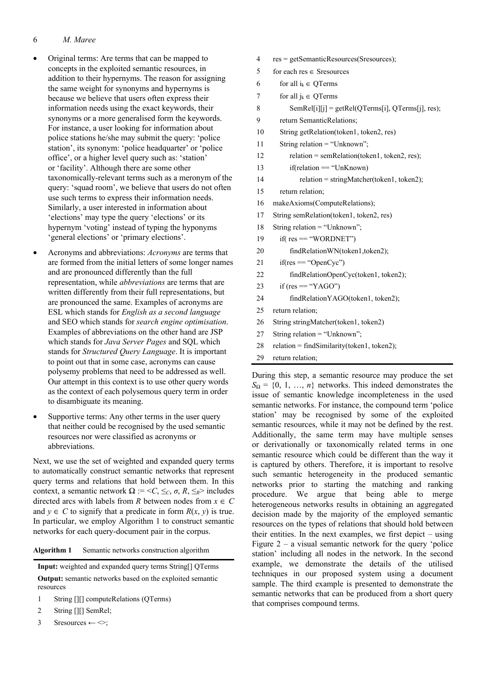### 6 *M. Maree*

- Original terms: Are terms that can be mapped to concepts in the exploited semantic resources, in addition to their hypernyms. The reason for assigning the same weight for synonyms and hypernyms is because we believe that users often express their information needs using the exact keywords, their synonyms or a more generalised form the keywords. For instance, a user looking for information about police stations he/she may submit the query: 'police station', its synonym: 'police headquarter' or 'police office', or a higher level query such as: 'station' or 'facility'. Although there are some other taxonomically-relevant terms such as a meronym of the query: 'squad room', we believe that users do not often use such terms to express their information needs. Similarly, a user interested in information about 'elections' may type the query 'elections' or its hypernym 'voting' instead of typing the hyponyms 'general elections' or 'primary elections'.
- Acronyms and abbreviations: *Acronyms* are terms that are formed from the initial letters of some longer names and are pronounced differently than the full representation, while *abbreviations* are terms that are written differently from their full representations, but are pronounced the same. Examples of acronyms are ESL which stands for *English as a second language* and SEO which stands for *search engine optimisation*. Examples of abbreviations on the other hand are JSP which stands for *Java Server Pages* and SQL which stands for *Structured Query Language*. It is important to point out that in some case, acronyms can cause polysemy problems that need to be addressed as well. Our attempt in this context is to use other query words as the context of each polysemous query term in order to disambiguate its meaning.
- Supportive terms: Any other terms in the user query that neither could be recognised by the used semantic resources nor were classified as acronyms or abbreviations.

Next, we use the set of weighted and expanded query terms to automatically construct semantic networks that represent query terms and relations that hold between them. In this context, a semantic network  $\Omega$  := < $C$ ,  $\leq_C$ ,  $\sigma$ ,  $R$ ,  $\leq_R$ > includes directed arcs with labels from *R* between nodes from  $x \in C$ and  $y \in C$  to signify that a predicate in form  $R(x, y)$  is true. In particular, we employ Algorithm 1 to construct semantic networks for each query-document pair in the corpus.

**Algorithm 1** Semantic networks construction algorithm

**Input:** weighted and expanded query terms String[] QTerms **Output:** semantic networks based on the exploited semantic resources

- 1 String [][] computeRelations (QTerms)
- 2 String [][] SemRel;
- 3 Sresources  $\leftarrow \leq$ ;
- 4 res = getSemanticResources(Sresources); 5 for each res ∈ Sresources 6 for all  $i_k \in$  OTerms 7 for all  $j_k \in QT$ erms 8 SemRel[i][j] = getRel(QTerms[i], QTerms[j], res); 9 return SemanticRelations; 10 String getRelation(token1, token2, res) 11 String relation = "Unknown"; 12 relation = semRelation(token1, token2, res); 13 if(relation == "UnKnown) 14 relation = stringMatcher(token1, token2); 15 return relation; 16 makeAxioms(ComputeRelations); 17 String semRelation(token1, token2, res) 18 String relation = "Unknown"; 19 if(  $res = "WORDNET")$ 20 findRelationWN(token1,token2);  $21$  if(res == "OpenCyc") 22 findRelationOpenCyc(token1, token2); 23 if (res  $=$  "YAGO") 24 findRelationYAGO(token1, token2); 25 return relation; 26 String stringMatcher(token1, token2) 27 String relation = "Unknown";
	- 28 relation = findSimilarity(token1, token2);
	- 29 return relation;

During this step, a semantic resource may produce the set  $S_{\Omega} = \{0, 1, ..., n\}$  networks. This indeed demonstrates the issue of semantic knowledge incompleteness in the used semantic networks. For instance, the compound term 'police station' may be recognised by some of the exploited semantic resources, while it may not be defined by the rest. Additionally, the same term may have multiple senses or derivationally or taxonomically related terms in one semantic resource which could be different than the way it is captured by others. Therefore, it is important to resolve such semantic heterogeneity in the produced semantic networks prior to starting the matching and ranking procedure. We argue that being able to merge heterogeneous networks results in obtaining an aggregated decision made by the majority of the employed semantic resources on the types of relations that should hold between their entities. In the next examples, we first depict – using Figure  $2 - a$  visual semantic network for the query 'police station' including all nodes in the network. In the second example, we demonstrate the details of the utilised techniques in our proposed system using a document sample. The third example is presented to demonstrate the semantic networks that can be produced from a short query that comprises compound terms.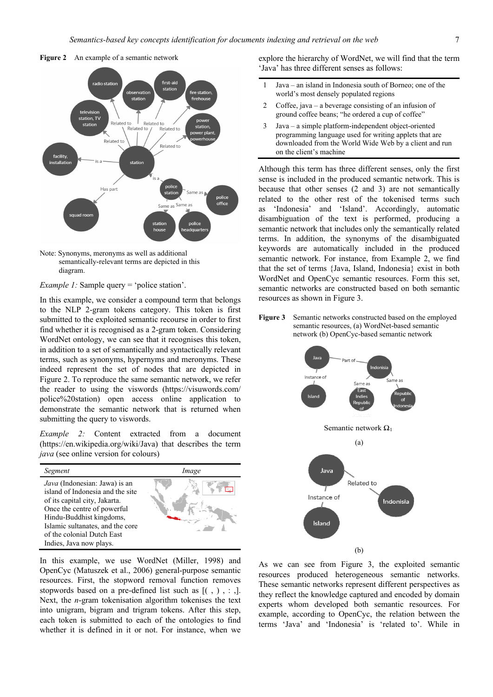





*Example 1:* Sample query = 'police station'.

In this example, we consider a compound term that belongs to the NLP 2-gram tokens category. This token is first submitted to the exploited semantic recourse in order to first find whether it is recognised as a 2-gram token. Considering WordNet ontology, we can see that it recognises this token, in addition to a set of semantically and syntactically relevant terms, such as synonyms, hypernyms and meronyms. These indeed represent the set of nodes that are depicted in Figure 2. To reproduce the same semantic network, we refer the reader to using the viswords (https://visuwords.com/ police%20station) open access online application to demonstrate the semantic network that is returned when submitting the query to viswords.

*Example 2:* Content extracted from a document (https://en.wikipedia.org/wiki/Java) that describes the term *java* (see online version for colours)

| Segment                                                                                                                                                                                                                                                    | Image |
|------------------------------------------------------------------------------------------------------------------------------------------------------------------------------------------------------------------------------------------------------------|-------|
| Java (Indonesian: Jawa) is an<br>island of Indonesia and the site<br>of its capital city, Jakarta.<br>Once the centre of powerful<br>Hindu-Buddhist kingdoms,<br>Islamic sultanates, and the core<br>of the colonial Dutch East<br>Indies, Java now plays. |       |

In this example, we use WordNet (Miller, 1998) and OpenCyc (Matuszek et al., 2006) general-purpose semantic resources. First, the stopword removal function removes stopwords based on a pre-defined list such as  $[(, ) , : ]$ . Next, the *n*-gram tokenisation algorithm tokenises the text into unigram, bigram and trigram tokens. After this step, each token is submitted to each of the ontologies to find whether it is defined in it or not. For instance, when we

explore the hierarchy of WordNet, we will find that the term 'Java' has three different senses as follows:

- 1 Java an island in Indonesia south of Borneo; one of the world's most densely populated regions
- 2 Coffee, java a beverage consisting of an infusion of ground coffee beans; "he ordered a cup of coffee"
- 3 Java a simple platform-independent object-oriented programming language used for writing applets that are downloaded from the World Wide Web by a client and run on the client's machine

Although this term has three different senses, only the first sense is included in the produced semantic network. This is because that other senses (2 and 3) are not semantically related to the other rest of the tokenised terms such as 'Indonesia' and 'Island'. Accordingly, automatic disambiguation of the text is performed, producing a semantic network that includes only the semantically related terms. In addition, the synonyms of the disambiguated keywords are automatically included in the produced semantic network. For instance, from Example 2, we find that the set of terms {Java, Island, Indonesia} exist in both WordNet and OpenCyc semantic resources. Form this set, semantic networks are constructed based on both semantic resources as shown in Figure 3.

**Figure 3** Semantic networks constructed based on the employed semantic resources, (a) WordNet-based semantic network (b) OpenCyc-based semantic network



As we can see from Figure 3, the exploited semantic resources produced heterogeneous semantic networks. These semantic networks represent different perspectives as they reflect the knowledge captured and encoded by domain experts whom developed both semantic resources. For example, according to OpenCyc, the relation between the terms 'Java' and 'Indonesia' is 'related to'. While in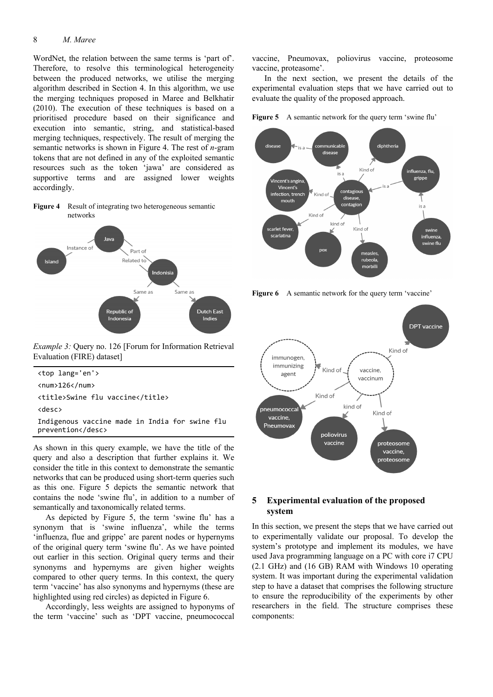#### 8 *M. Maree*

WordNet, the relation between the same terms is 'part of'. Therefore, to resolve this terminological heterogeneity between the produced networks, we utilise the merging algorithm described in Section 4. In this algorithm, we use the merging techniques proposed in Maree and Belkhatir (2010). The execution of these techniques is based on a prioritised procedure based on their significance and execution into semantic, string, and statistical-based merging techniques, respectively. The result of merging the semantic networks is shown in Figure 4. The rest of *n*-gram tokens that are not defined in any of the exploited semantic resources such as the token 'jawa' are considered as supportive terms and are assigned lower weights accordingly.





*Example 3:* Query no. 126 [Forum for Information Retrieval Evaluation (FIRE) dataset]

| <top lang="en"></top>                                        |  |  |  |
|--------------------------------------------------------------|--|--|--|
| $\langle num \rangle 126\langle num \rangle$                 |  |  |  |
| <title>Swine flu vaccine</title>                             |  |  |  |
| $<$ desc $>$                                                 |  |  |  |
| Indigenous vaccine made in India for swine flu<br>prevention |  |  |  |

As shown in this query example, we have the title of the query and also a description that further explains it. We consider the title in this context to demonstrate the semantic networks that can be produced using short-term queries such as this one. Figure 5 depicts the semantic network that contains the node 'swine flu', in addition to a number of semantically and taxonomically related terms.

As depicted by Figure 5, the term 'swine flu' has a synonym that is 'swine influenza', while the terms 'influenza, flue and grippe' are parent nodes or hypernyms of the original query term 'swine flu'. As we have pointed out earlier in this section. Original query terms and their synonyms and hypernyms are given higher weights compared to other query terms. In this context, the query term 'vaccine' has also synonyms and hypernyms (these are highlighted using red circles) as depicted in Figure 6.

Accordingly, less weights are assigned to hyponyms of the term 'vaccine' such as 'DPT vaccine, pneumococcal

vaccine, Pneumovax, poliovirus vaccine, proteosome vaccine, proteasome'.

In the next section, we present the details of the experimental evaluation steps that we have carried out to evaluate the quality of the proposed approach.

Figure 5 A semantic network for the query term 'swine flu'



**Figure 6** A semantic network for the query term 'vaccine'



# **5 Experimental evaluation of the proposed system**

In this section, we present the steps that we have carried out to experimentally validate our proposal. To develop the system's prototype and implement its modules, we have used Java programming language on a PC with core i7 CPU (2.1 GHz) and (16 GB) RAM with Windows 10 operating system. It was important during the experimental validation step to have a dataset that comprises the following structure to ensure the reproducibility of the experiments by other researchers in the field. The structure comprises these components: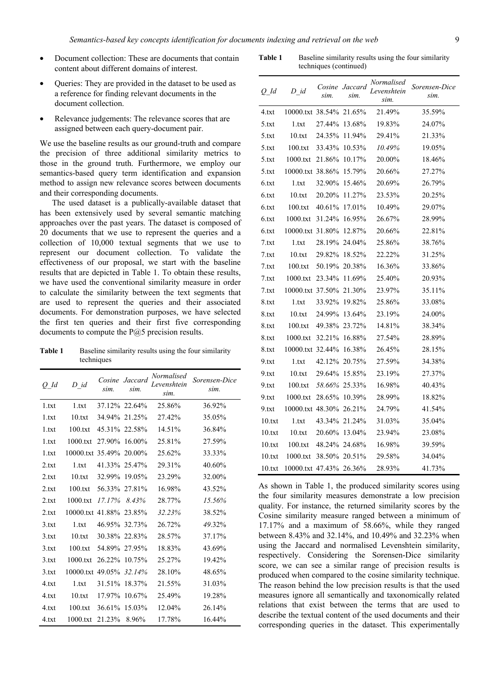- Document collection: These are documents that contain content about different domains of interest.
- Queries: They are provided in the dataset to be used as a reference for finding relevant documents in the document collection.
- Relevance judgements: The relevance scores that are assigned between each query-document pair.

We use the baseline results as our ground-truth and compare the precision of three additional similarity metrics to those in the ground truth. Furthermore, we employ our semantics-based query term identification and expansion method to assign new relevance scores between documents and their corresponding documents.

The used dataset is a publically-available dataset that has been extensively used by several semantic matching approaches over the past years. The dataset is composed of 20 documents that we use to represent the queries and a collection of 10,000 textual segments that we use to represent our document collection. To validate the effectiveness of our proposal, we start with the baseline results that are depicted in Table 1. To obtain these results, we have used the conventional similarity measure in order to calculate the similarity between the text segments that are used to represent the queries and their associated documents. For demonstration purposes, we have selected the first ten queries and their first five corresponding documents to compute the P@5 precision results.

**Table 1** Baseline similarity results using the four similarity techniques

| $O$ Id | $D$ id                  | Cosine<br>sim. | Jaccard<br>sim. | Normalised<br>Levenshtein<br>sim. | Sorensen-Dice<br>sim. |
|--------|-------------------------|----------------|-----------------|-----------------------------------|-----------------------|
| 1.txt  | 1.txt                   |                | 37.12% 22.64%   | 25.86%                            | 36.92%                |
| 1.txt  | 10.txt                  | 34.94%         | 21.25%          | 27.42%                            | 35.05%                |
| 1.txt  | 100.txt                 |                | 45.31% 22.58%   | 14.51%                            | 36.84%                |
| 1.txt  | 1000.txt                | 27.90%         | 16.00%          | 25.81%                            | 27.59%                |
| 1.txt  | 10000.txt 35.49% 20.00% |                |                 | 25.62%                            | 33.33%                |
| 2.txt  | 1.txt                   |                | 41.33% 25.47%   | 29.31%                            | 40.60%                |
| 2.txt  | 10.txt                  | 32.99%         | 19.05%          | 23.29%                            | 32.00%                |
| 2.txt  | 100.txt                 | 56.33%         | 27.81%          | 16.98%                            | 43.52%                |
| 2.txt  | 1000.txt                | 17.17%         | 8.43%           | 28.77%                            | 15.56%                |
| 2.txt  | 10000.txt 41.88%        |                | 23.85%          | 32.23%                            | 38.52%                |
| 3.txt  | 1.txt                   | 46.95%         | 32.73%          | 26.72%                            | 49.32%                |
| 3.txt  | 10.txt                  |                | 30.38% 22.83%   | 28.57%                            | 37.17%                |
| 3.txt  | 100.txt                 | 54.89%         | 27.95%          | 18.83%                            | 43.69%                |
| 3.txt  | 1000.txt                | 26.22%         | 10.75%          | 25.27%                            | 19.42%                |
| 3.txt  | 10000.txt 49.05%        |                | 32.14%          | 28.10%                            | 48.65%                |
| 4.txt  | 1.txt                   | 31.51%         | 18.37%          | 21.55%                            | 31.03%                |
| 4.txt  | 10.txt                  | 17.97%         | 10.67%          | 25.49%                            | 19.28%                |
| 4.txt  | 100.txt                 | 36.61%         | 15.03%          | 12.04%                            | 26.14%                |
| 4.txt  | 1000.txt                | 21.23%         | 8.96%           | 17.78%                            | 16.44%                |

Table 1 Baseline similarity results using the four similarity techniques (continued)

| O Id   | $D$ id                  | sim.   | Cosine Jaccard<br>sim. | Normalised<br>Levenshtein<br>sim. | Sorensen-Dice<br>sim. |
|--------|-------------------------|--------|------------------------|-----------------------------------|-----------------------|
| 4.txt  | 10000.txt 38.54%        |        | 21.65%                 | 21.49%                            | 35.59%                |
| 5.txt  | 1.txt                   | 27.44% | 13.68%                 | 19.83%                            | 24.07%                |
| 5.txt  | 10.txt                  | 24.35% | 11.94%                 | 29.41%                            | 21.33%                |
| 5.txt  | 100.txt                 | 33.43% | 10.53%                 | 10.49%                            | 19.05%                |
| 5.txt  | 1000.txt                | 21.86% | 10.17%                 | 20.00%                            | 18.46%                |
| 5.txt  | 10000.txt 38.86%        |        | 15.79%                 | 20.66%                            | 27.27%                |
| 6.txt  | 1.txt                   | 32.90% | 15.46%                 | 20.69%                            | 26.79%                |
| 6.txt  | 10.txt                  | 20.20% | 11.27%                 | 23.53%                            | 20.25%                |
| 6.txt  | 100.txt                 | 40.61% | 17.01%                 | 10.49%                            | 29.07%                |
| 6.txt  | 1000.txt                | 31.24% | 16.95%                 | 26.67%                            | 28.99%                |
| 6.txt  | 10000.txt 31.80%        |        | 12.87%                 | 20.66%                            | 22.81%                |
| 7.txt  | 1.txt                   | 28.19% | 24.04%                 | 25.86%                            | 38.76%                |
| 7.txt  | 10.txt                  | 29.82% | 18.52%                 | 22.22%                            | 31.25%                |
| 7.txt  | 100.txt                 | 50.19% | 20.38%                 | 16.36%                            | 33.86%                |
| 7.txt  | 1000.txt                | 23.34% | 11.69%                 | 25.40%                            | 20.93%                |
| 7.txt  | 10000.txt 37.50%        |        | 21.30%                 | 23.97%                            | 35.11%                |
| 8.txt  | 1.txt                   | 33.92% | 19.82%                 | 25.86%                            | 33.08%                |
| 8.txt  | 10.txt                  | 24.99% | 13.64%                 | 23.19%                            | 24.00%                |
| 8.txt  | 100.txt                 | 49.38% | 23.72%                 | 14.81%                            | 38.34%                |
| 8.txt  | 1000.txt                | 32.21% | 16.88%                 | 27.54%                            | 28.89%                |
| 8.txt  | 10000.txt 32.44%        |        | 16.38%                 | 26.45%                            | 28.15%                |
| 9.txt  | 1.txt                   | 42.12% | 20.75%                 | 27.59%                            | 34.38%                |
| 9.txt  | 10.txt                  | 29.64% | 15.85%                 | 23.19%                            | 27.37%                |
| 9.txt  | 100.txt                 | 58.66% | 25.33%                 | 16.98%                            | 40.43%                |
| 9.txt  | 1000.txt                | 28.65% | 10.39%                 | 28.99%                            | 18.82%                |
| 9.txt  | 10000.txt 48.30%        |        | 26.21%                 | 24.79%                            | 41.54%                |
| 10.txt | 1.txt                   | 43.34% | 21.24%                 | 31.03%                            | 35.04%                |
| 10.txt | 10.txt                  | 20.60% | 13.04%                 | 23.94%                            | 23.08%                |
| 10.txt | 100.txt                 | 48.24% | 24.68%                 | 16.98%                            | 39.59%                |
| 10.txt | 1000.txt                |        | 38.50% 20.51%          | 29.58%                            | 34.04%                |
| 10.txt | 10000.txt 47.43% 26.36% |        |                        | 28.93%                            | 41.73%                |

As shown in Table 1, the produced similarity scores using the four similarity measures demonstrate a low precision quality. For instance, the returned similarity scores by the Cosine similarity measure ranged between a minimum of 17.17% and a maximum of 58.66%, while they ranged between 8.43% and 32.14%, and 10.49% and 32.23% when using the Jaccard and normalised Levenshtein similarity, respectively. Considering the Sorensen-Dice similarity score, we can see a similar range of precision results is produced when compared to the cosine similarity technique. The reason behind the low precision results is that the used measures ignore all semantically and taxonomically related relations that exist between the terms that are used to describe the textual content of the used documents and their corresponding queries in the dataset. This experimentally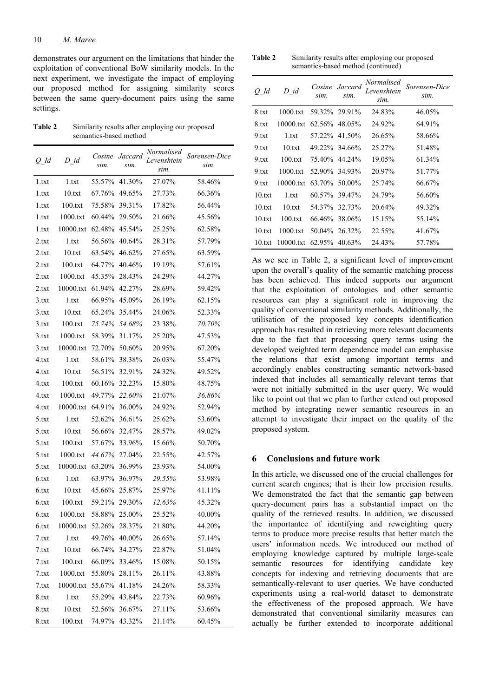demonstrates our argument on the limitations that hinder the exploitation of conventional BoW similarity models. In the next experiment, we investigate the impact of employing our proposed method for assigning similarity scores between the same query-document pairs using the same settings.

**Table 2** Similarity results after employing our proposed semantics-based method

| $Q\_Id$ | $D_id$                  | Cosine<br>sim. | Jaccard<br>sim. | <i>Normalised</i><br>Levenshtein<br>sim. | Sorensen-Dice<br>sim. |
|---------|-------------------------|----------------|-----------------|------------------------------------------|-----------------------|
| 1.txt   | 1.txt                   | 55.57%         | 41.30%          | 27.07%                                   | 58.46%                |
| 1.txt   | 10.txt                  | 67.76%         | 49.65%          | 27.73%                                   | 66.36%                |
| 1.txt   | 100.txt                 | 75.58%         | 39.31%          | 17.82%                                   | 56.44%                |
| 1.txt   | 1000.txt                | 60.44%         | 29.50%          | 21.66%                                   | 45.56%                |
| 1.txt   | 10000.txt               | 62.48%         | 45.54%          | 25.25%                                   | 62.58%                |
| 2.txt   | 1.txt                   | 56.56%         | 40.64%          | 28.31%                                   | 57.79%                |
| 2.txt   | 10.txt                  | 63.54%         | 46.62%          | 27.65%                                   | 63.59%                |
| 2.txt   | 100.txt                 | 64.77%         | 40.46%          | 19.19%                                   | 57.61%                |
| 2.txt   | 1000.txt                | 45.35%         | 28.43%          | 24.29%                                   | 44.27%                |
| 2.txt   | 10000.txt               | 61.94%         | 42.27%          | 28.69%                                   | 59.42%                |
| 3.txt   | 1.txt                   | 66.95%         | 45.09%          | 26.19%                                   | 62.15%                |
| 3.txt   | 10.txt                  | 65.24%         | 35.44%          | 24.06%                                   | 52.33%                |
| 3.txt   | 100.txt                 | 75.74%         | 54.68%          | 23.38%                                   | 70.70%                |
| 3.txt   | 1000.txt                | 58.39%         | 31.17%          | 25.20%                                   | 47.53%                |
| 3.txt   | 10000.txt               | 72.70%         | 50.60%          | 20.95%                                   | 67.20%                |
| 4.txt   | 1.txt                   | 58.61%         | 38.38%          | 26.03%                                   | 55.47%                |
| 4.txt   | 10.txt                  | 56.51%         | 32.91%          | 24.32%                                   | 49.52%                |
| 4.txt   | 100.txt                 | 60.16%         | 32.23%          | 15.80%                                   | 48.75%                |
| 4.txt   | 1000.txt                | 49.77%         | 22.60%          | 21.07%                                   | 36.86%                |
| 4.txt   | 10000.txt               | 64.91%         | 36.00%          | 24.92%                                   | 52.94%                |
| 5.txt   | 1.txt                   | 52.62%         | 36.61%          | 25.62%                                   | 53.60%                |
| 5.txt   | 10.txt                  | 56.66%         | 32.47%          | 28.57%                                   | 49.02%                |
| 5.txt   | 100.txt                 | 57.67%         | 33.96%          | 15.66%                                   | 50.70%                |
| 5.txt   | 1000.txt                | 44.67%         | 27.04%          | 22.55%                                   | 42.57%                |
| 5.txt   | 10000.txt               | 63.20%         | 36.99%          | 23.93%                                   | 54.00%                |
| 6.txt   | 1.txt                   | 63.97%         | 36.97%          | 29.55%                                   | 53.98%                |
| 6.txt   | 10.txt                  | 45.66%         | 25.87%          | 25.97%                                   | 41.11%                |
| 6.txt   | 100.txt                 | 59.21%         | 29.30%          | 12.63%                                   | 45.32%                |
| 6.txt   | 1000.txt                |                | 58.88% 25.00%   | 25.52%                                   | 40.00%                |
| 6.txt   | 10000.txt 52.26% 28.37% |                |                 | 21.80%                                   | 44.20%                |
| 7.txt   | 1.txt                   |                | 49.76% 40.00%   | 26.65%                                   | 57.14%                |
| 7.txt   | 10.txt                  |                | 66.74% 34.27%   | 22.87%                                   | 51.04%                |
| 7.txt   | 100.txt                 |                | 66.09% 33.46%   | 15.08%                                   | 50.15%                |
| 7.txt   | 1000.txt                |                | 55.80% 28.11%   | 26.11%                                   | 43.88%                |
| 7.txt   | 10000.txt 55.67% 41.18% |                |                 | 24.26%                                   | 58.33%                |
| 8.txt   | 1.txt                   |                | 55.29% 43.84%   | 22.73%                                   | 60.96%                |
| 8.txt   | 10.txt                  |                | 52.56% 36.67%   | 27.11%                                   | 53.66%                |
| 8.txt   | 100.txt                 |                | 74.97% 43.32%   | 21.14%                                   | 60.45%                |

**Table 2** Similarity results after employing our proposed semantics-based method (continued)

| $Q_{\perp}$ Id | $D$ id    | sim.   | Cosine Jaccard<br>sim. | Normalised<br>Levenshtein<br>sim. | Sorensen-Dice<br>sim. |
|----------------|-----------|--------|------------------------|-----------------------------------|-----------------------|
| 8.txt          | 1000.txt  |        | 59.32% 29.91%          | 24.83%                            | 46.05%                |
| 8.txt          | 10000.txt |        | 62.56% 48.05%          | 24.92%                            | 64.91%                |
| 9.txt          | 1.txt     |        | 57.22% 41.50%          | 26.65%                            | 58.66%                |
| 9.txt          | 10.txt    |        | 49.22\% 34.66\%        | 25.27%                            | 51.48%                |
| 9.txt          | 100.txt   |        | 75.40% 44.24%          | 19.05%                            | 61.34%                |
| 9.txt          | 1000.txt  |        | 52.90% 34.93%          | 20.97%                            | 51.77%                |
| 9.txt          | 10000.txt |        | 63.70% 50.00%          | 25.74%                            | 66.67%                |
| 10.txt         | 1.txt     |        | 60.57% 39.47%          | 24.79%                            | 56.60%                |
| 10.txt         | 10.txt    |        | 54.37% 32.73%          | 20.64%                            | 49.32%                |
| 10.txt         | 100.txt   |        | 66.46% 38.06%          | 15.15%                            | 55.14%                |
| 10.txt         | 1000.txt  | 50.04% | 26.32%                 | 22.55%                            | 41.67%                |
| 10.txt         | 10000.txt |        | 62.95% 40.63%          | 24.43%                            | 57.78%                |

As we see in Table 2, a significant level of improvement upon the overall's quality of the semantic matching process has been achieved. This indeed supports our argument that the exploitation of ontologies and other semantic resources can play a significant role in improving the quality of conventional similarity methods. Additionally, the utilisation of the proposed key concepts identification approach has resulted in retrieving more relevant documents due to the fact that processing query terms using the developed weighted term dependence model can emphasise the relations that exist among important terms and accordingly enables constructing semantic network-based indexed that includes all semantically relevant terms that were not initially submitted in the user query. We would like to point out that we plan to further extend out proposed method by integrating newer semantic resources in an attempt to investigate their impact on the quality of the proposed system.

#### **6 Conclusions and future work**

In this article, we discussed one of the crucial challenges for current search engines; that is their low precision results. We demonstrated the fact that the semantic gap between query-document pairs has a substantial impact on the quality of the retrieved results. In addition, we discussed the importantce of identifying and reweighting query terms to produce more precise results that better match the users' information needs. We introduced our method of employing knowledge captured by multiple large-scale semantic resources for identifying candidate key concepts for indexing and retrieving documents that are semantically-relevant to user queries. We have conducted experiments using a real-world dataset to demonstrate the effectiveness of the proposed approach. We have demonstrated that conventional similarity measures can actually be further extended to incorporate additional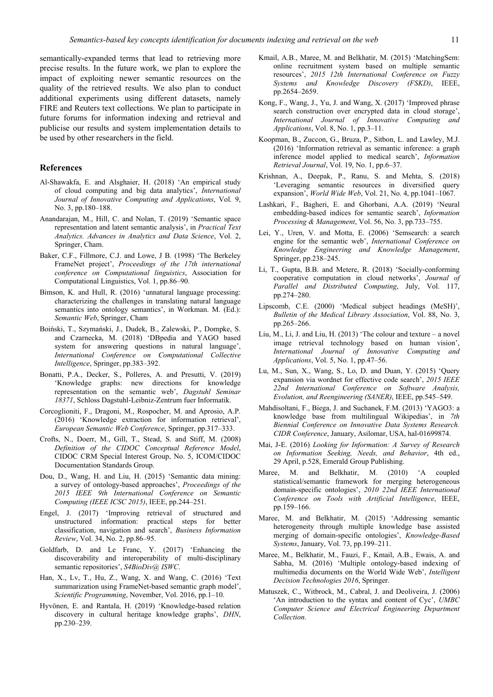semantically-expanded terms that lead to retrieving more precise results. In the future work, we plan to explore the impact of exploiting newer semantic resources on the quality of the retrieved results. We also plan to conduct additional experiments using different datasets, namely FIRE and Reuters text collections. We plan to participate in future forums for information indexing and retrieval and publicise our results and system implementation details to be used by other researchers in the field.

#### **References**

- Al-Shawakfa, E. and Alsghaier, H. (2018) 'An empirical study of cloud computing and big data analytics', *International Journal of Innovative Computing and Applications*, Vol. 9, No. 3, pp.180–188.
- Anandarajan, M., Hill, C. and Nolan, T. (2019) 'Semantic space representation and latent semantic analysis', in *Practical Text Analytics. Advances in Analytics and Data Science*, Vol. 2, Springer, Cham.
- Baker, C.F., Fillmore, C.J. and Lowe, J B. (1998) 'The Berkeley FrameNet project', *Proceedings of the 17th international conference on Computational linguistics*, Association for Computational Linguistics, Vol. 1, pp.86–90.
- Bimson, K. and Hull, R. (2016) 'unnatural language processing: characterizing the challenges in translating natural language semantics into ontology semantics', in Workman. M. (Ed.): *Semantic Web*, Springer, Cham
- Boiński, T., Szymański, J., Dudek, B., Zalewski, P., Dompke, S. and Czarnecka, M. (2018) 'DBpedia and YAGO based system for answering questions in natural language', *International Conference on Computational Collective Intelligence*, Springer, pp.383–392.
- Bonatti, P.A., Decker, S., Polleres, A. and Presutti, V. (2019) 'Knowledge graphs: new directions for knowledge representation on the semantic web', *Dagstuhl Seminar 18371*, Schloss Dagstuhl-Leibniz-Zentrum fuer Informatik.
- Corcoglioniti, F., Dragoni, M., Rospocher, M. and Aprosio, A.P. (2016) 'Knowledge extraction for information retrieval', *European Semantic Web Conference*, Springer, pp.317–333.
- Crofts, N., Doerr, M., Gill, T., Stead, S. and Stiff, M. (2008) *Definition of the CIDOC Conceptual Reference Model*, CIDOC CRM Special Interest Group, No. 5, ICOM/CIDOC Documentation Standards Group.
- Dou, D., Wang, H. and Liu, H. (2015) 'Semantic data mining: a survey of ontology-based approaches', *Proceedings of the 2015 IEEE 9th International Conference on Semantic Computing (IEEE ICSC 2015)*, IEEE, pp.244–251.
- Engel, J. (2017) 'Improving retrieval of structured and unstructured information: practical steps for better classification, navigation and search', *Business Information Review*, Vol. 34, No. 2, pp.86–95.
- Goldfarb, D. and Le Franc, Y. (2017) 'Enhancing the discoverability and interoperability of multi-disciplinary semantic repositories', *S4BioDiv@ ISWC*.
- Han, X., Lv, T., Hu, Z., Wang, X. and Wang, C. (2016) 'Text summarization using FrameNet-based semantic graph model', *Scientific Programming*, November, Vol. 2016, pp.1–10.
- Hyvönen, E. and Rantala, H. (2019) 'Knowledge-based relation discovery in cultural heritage knowledge graphs', *DHN*, pp.230–239.
- Kmail, A.B., Maree, M. and Belkhatir, M. (2015) 'MatchingSem: online recruitment system based on multiple semantic resources', *2015 12th International Conference on Fuzzy Systems and Knowledge Discovery (FSKD)*, IEEE, pp.2654–2659.
- Kong, F., Wang, J., Yu, J. and Wang, X. (2017) 'Improved phrase search construction over encrypted data in cloud storage', *International Journal of Innovative Computing and Applications*, Vol. 8, No. 1, pp.3–11.
- Koopman, B., Zuccon, G., Bruza, P., Sitbon, L. and Lawley, M.J. (2016) 'Information retrieval as semantic inference: a graph inference model applied to medical search', *Information Retrieval Journal*, Vol. 19, No. 1, pp.6–37.
- Krishnan, A., Deepak, P., Ranu, S. and Mehta, S. (2018) 'Leveraging semantic resources in diversified query expansion', *World Wide Web*, Vol. 21, No. 4, pp.1041–1067.
- Lashkari, F., Bagheri, E. and Ghorbani, A.A. (2019) 'Neural embedding-based indices for semantic search', *Information Processing & Management*, Vol. 56, No. 3, pp.733–755.
- Lei, Y., Uren, V. and Motta, E. (2006) 'Semsearch: a search engine for the semantic web', *International Conference on Knowledge Engineering and Knowledge Management*, Springer, pp.238–245.
- Li, T., Gupta, B.B. and Metere, R. (2018) 'Socially-conforming cooperative computation in cloud networks', *Journal of Parallel and Distributed Computing*, July, Vol. 117, pp.274–280.
- Lipscomb, C.E. (2000) 'Medical subject headings (MeSH)', *Bulletin of the Medical Library Association*, Vol. 88, No. 3, pp.265–266.
- Liu, M., Li, J. and Liu, H. (2013) 'The colour and texture a novel image retrieval technology based on human vision', *International Journal of Innovative Computing and Applications*, Vol. 5, No. 1, pp.47–56.
- Lu, M., Sun, X., Wang, S., Lo, D. and Duan, Y. (2015) 'Query expansion via wordnet for effective code search', *2015 IEEE 22nd International Conference on Software Analysis, Evolution, and Reengineering (SANER)*, IEEE, pp.545–549.
- Mahdisoltani, F., Biega, J. and Suchanek, F.M. (2013) 'YAGO3: a knowledge base from multilingual Wikipedias', in *7th Biennial Conference on Innovative Data Systems Research. CIDR Conference*, January, Asilomar, USA, hal-01699874.
- Mai, J-E. (2016) *Looking for Information: A Survey of Research on Information Seeking, Needs, and Behavior*, 4th ed., 29 April, p.528, Emerald Group Publishing.
- Maree, M. and Belkhatir, M. (2010) 'A coupled statistical/semantic framework for merging heterogeneous domain-specific ontologies', *2010 22nd IEEE International Conference on Tools with Artificial Intelligence*, IEEE, pp.159–166.
- Maree, M. and Belkhatir, M. (2015) 'Addressing semantic heterogeneity through multiple knowledge base assisted merging of domain-specific ontologies', *Knowledge-Based Systems*, January, Vol. 73, pp.199–211.
- Maree, M., Belkhatir, M., Fauzi, F., Kmail, A.B., Ewais, A. and Sabha, M. (2016) 'Multiple ontology-based indexing of multimedia documents on the World Wide Web', *Intelligent Decision Technologies 2016*, Springer.
- Matuszek, C., Witbrock, M., Cabral, J. and Deoliveira, J. (2006) 'An introduction to the syntax and content of Cyc', *UMBC Computer Science and Electrical Engineering Department Collection*.